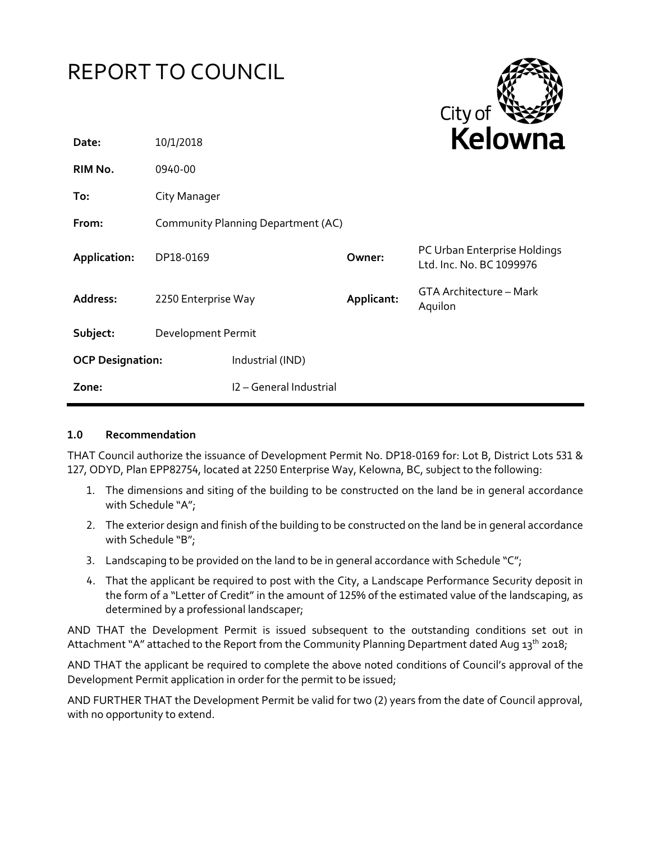|  | <b>REPORT TO COUNCIL</b> |
|--|--------------------------|
|--|--------------------------|



| Date:                   | 10/1/2018                          |                         |            | <b>NEIUWII</b> d                                         |
|-------------------------|------------------------------------|-------------------------|------------|----------------------------------------------------------|
| RIM No.                 | 0940-00                            |                         |            |                                                          |
| To:                     | City Manager                       |                         |            |                                                          |
| From:                   | Community Planning Department (AC) |                         |            |                                                          |
| Application:            | DP18-0169                          |                         | Owner:     | PC Urban Enterprise Holdings<br>Ltd. Inc. No. BC 1099976 |
| Address:                | 2250 Enterprise Way                |                         | Applicant: | GTA Architecture - Mark<br>Aquilon                       |
| Subject:                | Development Permit                 |                         |            |                                                          |
| <b>OCP Designation:</b> |                                    | Industrial (IND)        |            |                                                          |
| Zone:                   |                                    | I2 - General Industrial |            |                                                          |

#### **1.0 Recommendation**

THAT Council authorize the issuance of Development Permit No. DP18-0169 for: Lot B, District Lots 531 & 127, ODYD, Plan EPP82754, located at 2250 Enterprise Way, Kelowna, BC, subject to the following:

- 1. The dimensions and siting of the building to be constructed on the land be in general accordance with Schedule "A";
- 2. The exterior design and finish of the building to be constructed on the land be in general accordance with Schedule "B";
- 3. Landscaping to be provided on the land to be in general accordance with Schedule " $C$ ";
- 4. That the applicant be required to post with the City, a Landscape Performance Security deposit in the form of a "Letter of Credit" in the amount of 125% of the estimated value of the landscaping, as determined by a professional landscaper;

AND THAT the Development Permit is issued subsequent to the outstanding conditions set out in Attachment "A" attached to the Report from the Community Planning Department dated Aug 13<sup>th</sup> 2018;

AND THAT the applicant be required to complete the above noted conditions of Council's approval of the Development Permit application in order for the permit to be issued;

AND FURTHER THAT the Development Permit be valid for two (2) years from the date of Council approval, with no opportunity to extend.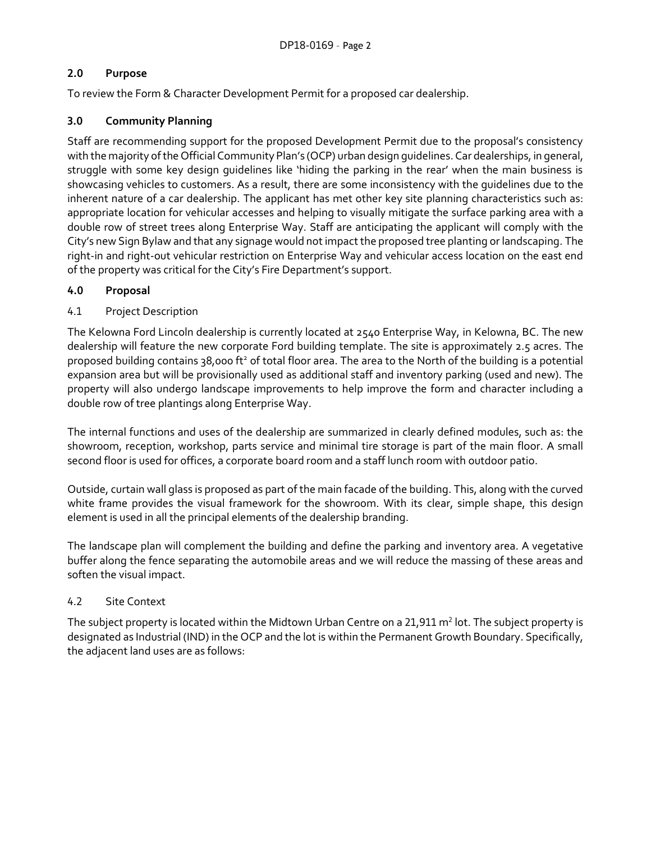# **2.0 Purpose**

To review the Form & Character Development Permit for a proposed car dealership.

# **3.0 Community Planning**

Staff are recommending support for the proposed Development Permit due to the proposal's consistency with the majority of the Official Community Plan's (OCP) urban design guidelines. Car dealerships, in general, struggle with some key design guidelines like 'hiding the parking in the rear' when the main business is showcasing vehicles to customers. As a result, there are some inconsistency with the guidelines due to the inherent nature of a car dealership. The applicant has met other key site planning characteristics such as: appropriate location for vehicular accesses and helping to visually mitigate the surface parking area with a double row of street trees along Enterprise Way. Staff are anticipating the applicant will comply with the City's new Sign Bylaw and that any signage would not impact the proposed tree planting or landscaping. The right-in and right-out vehicular restriction on Enterprise Way and vehicular access location on the east end of the property was critical for the City's Fire Department's support.

#### **4.0 Proposal**

#### 4.1 Project Description

The Kelowna Ford Lincoln dealership is currently located at 2540 Enterprise Way, in Kelowna, BC. The new dealership will feature the new corporate Ford building template. The site is approximately 2.5 acres. The proposed building contains 38,000 ft<sup>2</sup> of total floor area. The area to the North of the building is a potential expansion area but will be provisionally used as additional staff and inventory parking (used and new). The property will also undergo landscape improvements to help improve the form and character including a double row of tree plantings along Enterprise Way.

The internal functions and uses of the dealership are summarized in clearly defined modules, such as: the showroom, reception, workshop, parts service and minimal tire storage is part of the main floor. A small second floor is used for offices, a corporate board room and a staff lunch room with outdoor patio.

Outside, curtain wall glass is proposed as part of the main facade of the building. This, along with the curved white frame provides the visual framework for the showroom. With its clear, simple shape, this design element is used in all the principal elements of the dealership branding.

The landscape plan will complement the building and define the parking and inventory area. A vegetative buffer along the fence separating the automobile areas and we will reduce the massing of these areas and soften the visual impact.

# 4.2 Site Context

The subject property is located within the Midtown Urban Centre on a 21,911  $\mathsf{m}^2$  lot. The subject property is designated as Industrial (IND) in the OCP and the lot is within the Permanent Growth Boundary. Specifically, the adjacent land uses are as follows: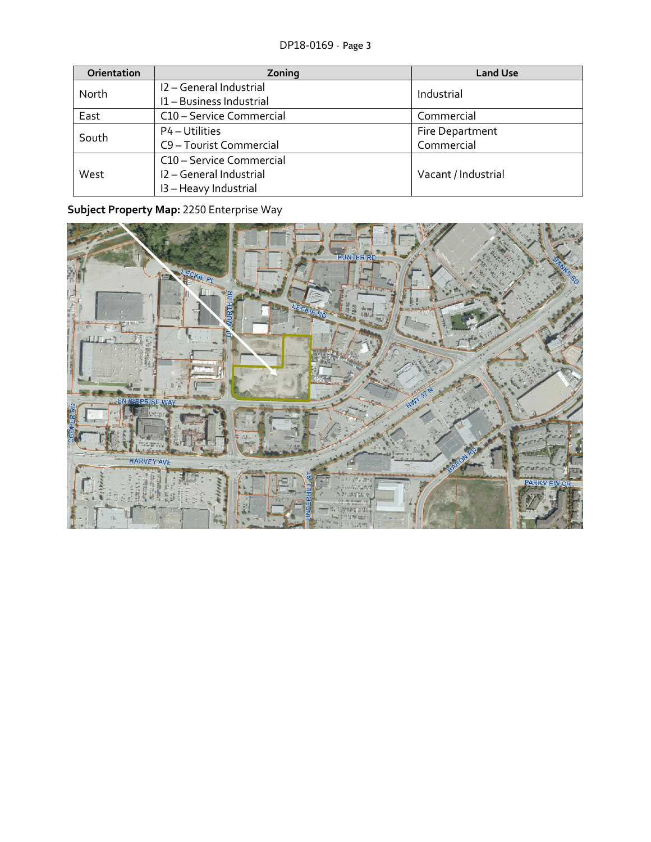| Orientation | Zoning                   | <b>Land Use</b>     |  |
|-------------|--------------------------|---------------------|--|
| North       | I2 - General Industrial  | Industrial          |  |
|             | I1-Business Industrial   |                     |  |
| East        | C10 - Service Commercial | Commercial          |  |
| South       | P4 – Utilities           | Fire Department     |  |
|             | C9 - Tourist Commercial  | Commercial          |  |
| West        | C10 - Service Commercial |                     |  |
|             | I2 - General Industrial  | Vacant / Industrial |  |
|             | I3 - Heavy Industrial    |                     |  |

# **Subject Property Map:** 2250 Enterprise Way

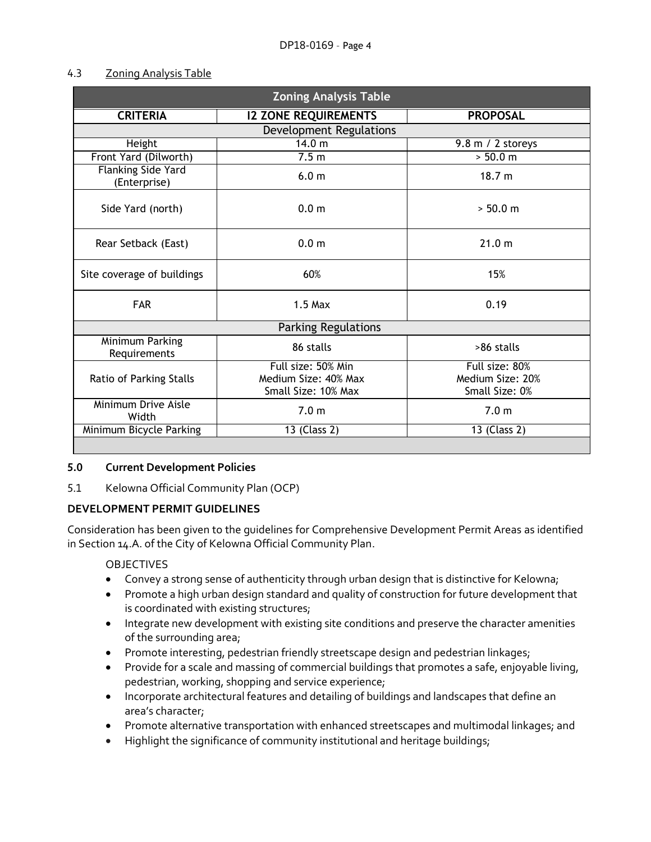#### 4.3 Zoning Analysis Table

| <b>Zoning Analysis Table</b>       |                                                                   |                                                      |
|------------------------------------|-------------------------------------------------------------------|------------------------------------------------------|
| <b>CRITERIA</b>                    | <b>I2 ZONE REQUIREMENTS</b>                                       | <b>PROPOSAL</b>                                      |
|                                    | <b>Development Regulations</b>                                    |                                                      |
| Height                             | 14.0 m                                                            | 9.8 m / 2 storeys                                    |
| Front Yard (Dilworth)              | 7.5 <sub>m</sub>                                                  | > 50.0 m                                             |
| Flanking Side Yard<br>(Enterprise) | 6.0 <sub>m</sub>                                                  | 18.7 m                                               |
| Side Yard (north)                  | 0.0 <sub>m</sub>                                                  | > 50.0 m                                             |
| Rear Setback (East)                | 0.0 <sub>m</sub>                                                  | 21.0 m                                               |
| Site coverage of buildings         | 60%                                                               | 15%                                                  |
| <b>FAR</b>                         | $1.5$ Max                                                         | 0.19                                                 |
| <b>Parking Regulations</b>         |                                                                   |                                                      |
| Minimum Parking<br>Requirements    | 86 stalls                                                         | >86 stalls                                           |
| Ratio of Parking Stalls            | Full size: 50% Min<br>Medium Size: 40% Max<br>Small Size: 10% Max | Full size: 80%<br>Medium Size: 20%<br>Small Size: 0% |
| Minimum Drive Aisle<br>Width       | 7.0 <sub>m</sub>                                                  | 7.0 <sub>m</sub>                                     |
| Minimum Bicycle Parking            | 13 (Class 2)                                                      | 13 (Class 2)                                         |
|                                    |                                                                   |                                                      |

# **5.0 Current Development Policies**

5.1 Kelowna Official Community Plan (OCP)

# **DEVELOPMENT PERMIT GUIDELINES**

Consideration has been given to the guidelines for Comprehensive Development Permit Areas as identified in Section 14.A. of the City of Kelowna Official Community Plan.

# OBJECTIVES

- Convey a strong sense of authenticity through urban design that is distinctive for Kelowna;
- Promote a high urban design standard and quality of construction for future development that is coordinated with existing structures;
- Integrate new development with existing site conditions and preserve the character amenities of the surrounding area;
- Promote interesting, pedestrian friendly streetscape design and pedestrian linkages;
- Provide for a scale and massing of commercial buildings that promotes a safe, enjoyable living, pedestrian, working, shopping and service experience;
- Incorporate architectural features and detailing of buildings and landscapes that define an area's character;
- Promote alternative transportation with enhanced streetscapes and multimodal linkages; and
- Highlight the significance of community institutional and heritage buildings;